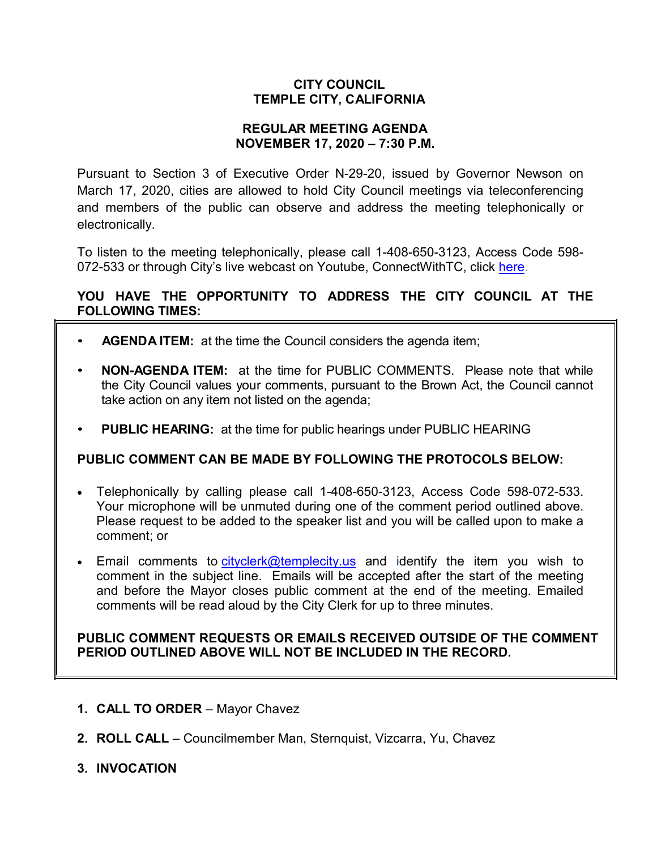# **CITY COUNCIL TEMPLE CITY, CALIFORNIA**

### **REGULAR MEETING AGENDA NOVEMBER 17, 2020 – 7:30 P.M.**

Pursuant to Section 3 of Executive Order N-29-20, issued by Governor Newson on March 17, 2020, cities are allowed to hold City Council meetings via teleconferencing and members of the public can observe and address the meeting telephonically or electronically.

To listen to the meeting telephonically, please call 1-408-650-3123, Access Code 598 072-533 or through City's live webcast on Youtube, ConnectWithTC, click [here.](https://www.ci.temple-city.ca.us/516/Meeting-Webcast)

# **YOU HAVE THE OPPORTUNITY TO ADDRESS THE CITY COUNCIL AT THE FOLLOWING TIMES:**

- **AGENDA ITEM:** at the time the Council considers the agenda item;
- **NON-AGENDA ITEM:** at the time for PUBLIC COMMENTS. Please note that while the City Council values your comments, pursuant to the Brown Act, the Council cannot take action on any item not listed on the agenda;
- **PUBLIC HEARING:** at the time for public hearings under PUBLIC HEARING

# **PUBLIC COMMENT CAN BE MADE BY FOLLOWING THE PROTOCOLS BELOW:**

- Telephonically by calling please call 1-408-650-3123, Access Code 598-072-533. Your microphone will be unmuted during one of the comment period outlined above. Please request to be added to the speaker list and you will be called upon to make a comment; or
- Email comments to [cityclerk@templecity.us](mailto:cityclerk@templecity.us) and identify the item you wish to comment in the subject line. Emails will be accepted after the start of the meeting and before the Mayor closes public comment at the end of the meeting. Emailed comments will be read aloud by the City Clerk for up to three minutes.

### **PUBLIC COMMENT REQUESTS OR EMAILS RECEIVED OUTSIDE OF THE COMMENT PERIOD OUTLINED ABOVE WILL NOT BE INCLUDED IN THE RECORD.**

- **1. CALL TO ORDER**  Mayor Chavez
- **2. ROLL CALL**  Councilmember Man, Sternquist, Vizcarra, Yu, Chavez
- **3. INVOCATION**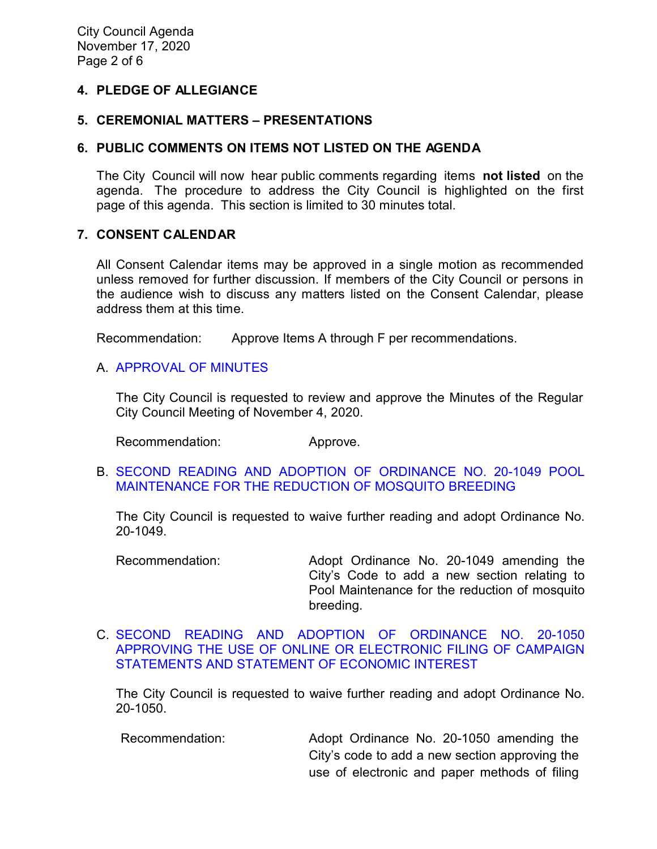### **4. PLEDGE OF ALLEGIANCE**

#### **5. CEREMONIAL MATTERS – PRESENTATIONS**

#### **6. PUBLIC COMMENTS ON ITEMS NOT LISTED ON THE AGENDA**

The City Council will now hear public comments regarding items **not listed** on the agenda. The procedure to address the City Council is highlighted on the first page of this agenda. This section is limited to 30 minutes total.

#### **7. CONSENT CALENDAR**

All Consent Calendar items may be approved in a single motion as recommended unless removed for further discussion. If members of the City Council or persons in the audience wish to discuss any matters listed on the Consent Calendar, please address them at this time.

Recommendation: Approve Items A through F per recommendations.

#### A. [APPROVAL](https://ca-templecity.civicplus.com/DocumentCenter/View/15334/03_7A_CCM---2020-11-04) OF MINUTES

The City Council is requested to review and approve the Minutes of the Regular City Council Meeting of November 4, 2020.

Recommendation: Approve.

B. [SECOND READING AND ADOPTION OF ORDINANCE NO. 20-1049 POOL](https://ca-templecity.civicplus.com/DocumentCenter/View/15326/04_7B_Ordinance-20-1049-Staff-Report_2nd-Reading_Pool-Maintenance_AC-final-w-attachments)  [MAINTENANCE FOR THE REDUCTION OF MOSQUITO BREEDING](https://ca-templecity.civicplus.com/DocumentCenter/View/15326/04_7B_Ordinance-20-1049-Staff-Report_2nd-Reading_Pool-Maintenance_AC-final-w-attachments)

The City Council is requested to waive further reading and adopt Ordinance No. 20-1049.

Recommendation: Adopt Ordinance No. 20-1049 amending the City's Code to add a new section relating to Pool Maintenance for the reduction of mosquito breeding.

C. [SECOND READING AND ADOPTION OF ORDINANCE NO. 20-1050](https://ca-templecity.civicplus.com/DocumentCenter/View/15327/05_7C_Ordinance-20-1050_Staff-Report_2nd-reading_Use-of-Online-or-Electrobnic-Filing-of-Campaign-Statements_w-attachments)  [APPROVING THE USE OF ONLINE OR ELECTRONIC FILING OF CAMPAIGN](https://ca-templecity.civicplus.com/DocumentCenter/View/15327/05_7C_Ordinance-20-1050_Staff-Report_2nd-reading_Use-of-Online-or-Electrobnic-Filing-of-Campaign-Statements_w-attachments)  [STATEMENTS AND STATEMENT OF ECONOMIC INTEREST](https://ca-templecity.civicplus.com/DocumentCenter/View/15327/05_7C_Ordinance-20-1050_Staff-Report_2nd-reading_Use-of-Online-or-Electrobnic-Filing-of-Campaign-Statements_w-attachments)

The City Council is requested to waive further reading and adopt Ordinance No. 20-1050.

Recommendation: Adopt Ordinance No. 20-1050 amending the City's code to add a new section approving the use of electronic and paper methods of filing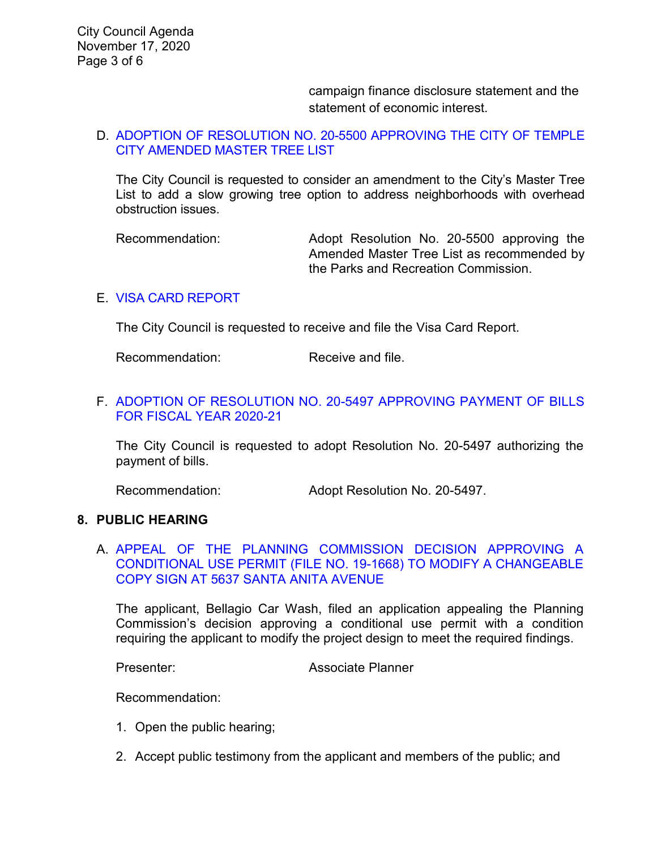campaign finance disclosure statement and the statement of economic interest.

### D. [ADOPTION OF RESOLUTION NO. 20-5500 APPROVING THE CITY OF TEMPLE](https://ca-templecity.civicplus.com/DocumentCenter/View/15328/06_7D_Amended-Master-Tree-List_-Staff-Report_AM-final_w-attachments)  [CITY AMENDED MASTER TREE LIST](https://ca-templecity.civicplus.com/DocumentCenter/View/15328/06_7D_Amended-Master-Tree-List_-Staff-Report_AM-final_w-attachments)

The City Council is requested to consider an amendment to the City's Master Tree List to add a slow growing tree option to address neighborhoods with overhead obstruction issues.

Recommendation: Adopt Resolution No. 20-5500 approving the Amended Master Tree List as recommended by the Parks and Recreation Commission.

#### E. [VISA CARD REPORT](https://ca-templecity.civicplus.com/DocumentCenter/View/15329/07_7E_Visa-Card-Report_SP-final_w-attachment)

The City Council is requested to receive and file the Visa Card Report.

Recommendation: Receive and file.

# F. ADOPTION [OF RESOLUTION NO. 20-5497 APPROVING PAYMENT OF BILLS](https://ca-templecity.civicplus.com/DocumentCenter/View/15347/08_7F_Reso-No-20-5497-111720---Warrants--Demands-FY-2020-2021)  [FOR FISCAL YEAR 2020-21](https://ca-templecity.civicplus.com/DocumentCenter/View/15347/08_7F_Reso-No-20-5497-111720---Warrants--Demands-FY-2020-2021)

The City Council is requested to adopt Resolution No. 20-5497 authorizing the payment of bills.

Recommendation: Adopt Resolution No. 20-5497.

# **8. PUBLIC HEARING**

### A. [APPEAL OF THE PLANNING COMMISSION DECISION APPROVING A](https://ca-templecity.civicplus.com/DocumentCenter/View/15345/08_8A_Santa-Anita-Bellagio-Car-Wash_Staff-Report_final-w-attachments)  [CONDITIONAL USE PERMIT \(FILE NO. 19-1668\) TO MODIFY A CHANGEABLE](https://ca-templecity.civicplus.com/DocumentCenter/View/15345/08_8A_Santa-Anita-Bellagio-Car-Wash_Staff-Report_final-w-attachments)  [COPY SIGN AT 5637 SANTA ANITA AVENUE](https://ca-templecity.civicplus.com/DocumentCenter/View/15345/08_8A_Santa-Anita-Bellagio-Car-Wash_Staff-Report_final-w-attachments)

The applicant, Bellagio Car Wash, filed an application appealing the Planning Commission's decision approving a conditional use permit with a condition requiring the applicant to modify the project design to meet the required findings.

Presenter: Associate Planner

Recommendation:

- 1. Open the public hearing;
- 2. Accept public testimony from the applicant and members of the public; and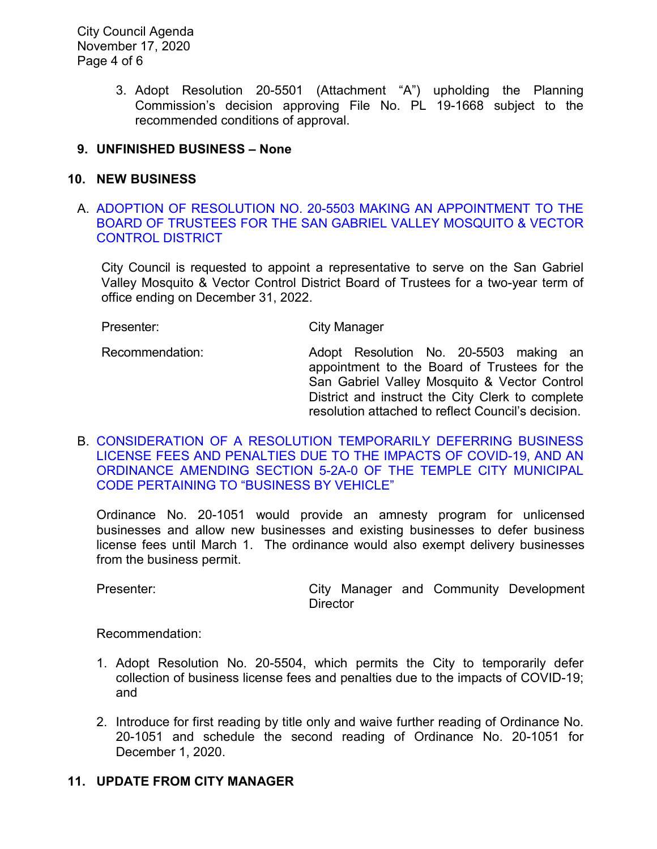City Council Agenda November 17, 2020 Page 4 of 6

> 3. Adopt Resolution 20-5501 (Attachment "A") upholding the Planning Commission's decision approving File No. PL 19-1668 subject to the recommended conditions of approval.

# **9. UNFINISHED BUSINESS – None**

# **10. NEW BUSINESS**

A. [ADOPTION OF RESOLUTION NO. 20-5503 MAKING AN APPOINTMENT TO THE](https://ca-templecity.civicplus.com/DocumentCenter/View/15330/09_10A_Mosquito-and-Vector---Staff-Report---Appointment-of-Trustee-to-SGV-Mosquito--Vector-Control-District_final-w-attachments)  [BOARD OF TRUSTEES FOR THE SAN GABRIEL VALLEY MOSQUITO & VECTOR](https://ca-templecity.civicplus.com/DocumentCenter/View/15330/09_10A_Mosquito-and-Vector---Staff-Report---Appointment-of-Trustee-to-SGV-Mosquito--Vector-Control-District_final-w-attachments)  [CONTROL DISTRICT](https://ca-templecity.civicplus.com/DocumentCenter/View/15330/09_10A_Mosquito-and-Vector---Staff-Report---Appointment-of-Trustee-to-SGV-Mosquito--Vector-Control-District_final-w-attachments)

City Council is requested to appoint a representative to serve on the San Gabriel Valley Mosquito & Vector Control District Board of Trustees for a two-year term of office ending on December 31, 2022.

Presenter: City Manager

Recommendation: Adopt Resolution No. 20-5503 making an appointment to the Board of Trustees for the San Gabriel Valley Mosquito & Vector Control District and instruct the City Clerk to complete resolution attached to reflect Council's decision.

B. [CONSIDERATION OF A RESOLUTION TEMPORARILY DEFERRING BUSINESS](https://ca-templecity.civicplus.com/DocumentCenter/View/15331/10_10B_Economic-relief-through-business-license-program_staff-report_SR-final_w-attachments)  [LICENSE FEES AND PENALTIES DUE TO THE IMPACTS OF COVID-19, AND AN](https://ca-templecity.civicplus.com/DocumentCenter/View/15331/10_10B_Economic-relief-through-business-license-program_staff-report_SR-final_w-attachments)  [ORDINANCE AMENDING SECTION 5-2A-0 OF THE TEMPLE CITY MUNICIPAL](https://ca-templecity.civicplus.com/DocumentCenter/View/15331/10_10B_Economic-relief-through-business-license-program_staff-report_SR-final_w-attachments)  [CODE PERTAINING TO "BUSINESS BY VEHICLE"](https://ca-templecity.civicplus.com/DocumentCenter/View/15331/10_10B_Economic-relief-through-business-license-program_staff-report_SR-final_w-attachments)

Ordinance No. 20-1051 would provide an amnesty program for unlicensed businesses and allow new businesses and existing businesses to defer business license fees until March 1. The ordinance would also exempt delivery businesses from the business permit.

Presenter: example a city Manager and Community Development **Director** 

Recommendation:

- 1. Adopt Resolution No. 20-5504, which permits the City to temporarily defer collection of business license fees and penalties due to the impacts of COVID-19; and
- 2. Introduce for first reading by title only and waive further reading of Ordinance No. 20-1051 and schedule the second reading of Ordinance No. 20-1051 for December 1, 2020.

# **11. UPDATE FROM CITY MANAGER**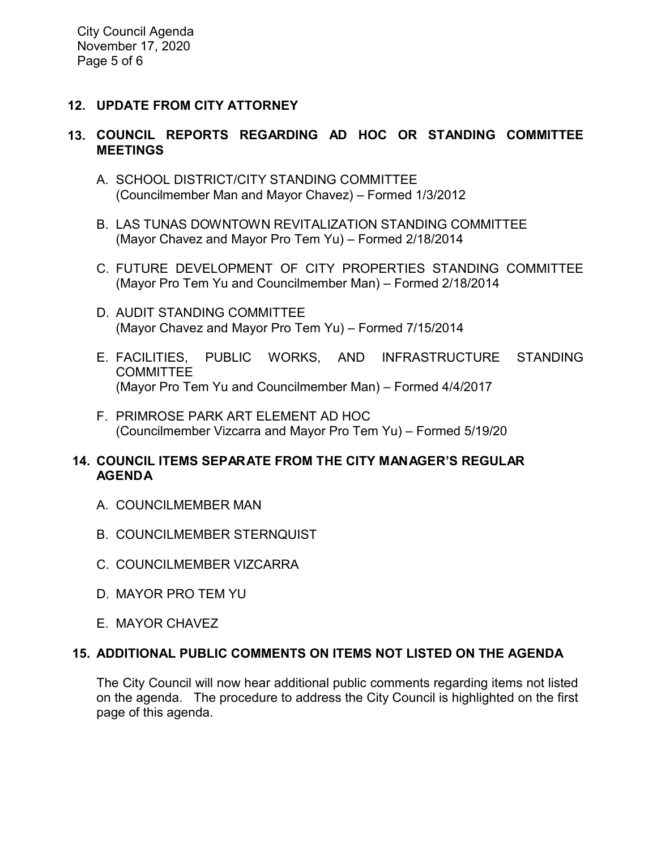City Council Agenda November 17, 2020 Page 5 of 6

# **12. UPDATE FROM CITY ATTORNEY**

# **13. COUNCIL REPORTS REGARDING AD HOC OR STANDING COMMITTEE MEETINGS**

- A. SCHOOL DISTRICT/CITY STANDING COMMITTEE (Councilmember Man and Mayor Chavez) – Formed 1/3/2012
- B. LAS TUNAS DOWNTOWN REVITALIZATION STANDING COMMITTEE (Mayor Chavez and Mayor Pro Tem Yu) – Formed 2/18/2014
- C. FUTURE DEVELOPMENT OF CITY PROPERTIES STANDING COMMITTEE (Mayor Pro Tem Yu and Councilmember Man) – Formed 2/18/2014
- D. AUDIT STANDING COMMITTEE (Mayor Chavez and Mayor Pro Tem Yu) – Formed 7/15/2014
- E. FACILITIES, PUBLIC WORKS, AND INFRASTRUCTURE STANDING **COMMITTEE** (Mayor Pro Tem Yu and Councilmember Man) – Formed 4/4/2017
- F. PRIMROSE PARK ART ELEMENT AD HOC (Councilmember Vizcarra and Mayor Pro Tem Yu) – Formed 5/19/20

### **14. COUNCIL ITEMS SEPARATE FROM THE CITY MANAGER'S REGULAR AGENDA**

- A. COUNCILMEMBER MAN
- B. COUNCILMEMBER STERNQUIST
- C. COUNCILMEMBER VIZCARRA
- D. MAYOR PRO TEM YU
- E. MAYOR CHAVEZ

### **15. ADDITIONAL PUBLIC COMMENTS ON ITEMS NOT LISTED ON THE AGENDA**

The City Council will now hear additional public comments regarding items not listed on the agenda. The procedure to address the City Council is highlighted on the first page of this agenda.